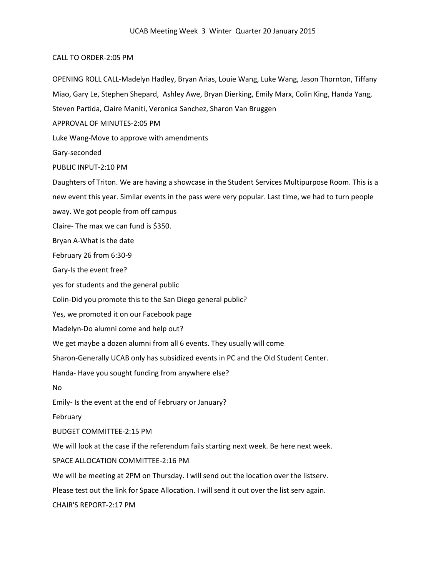## CALL TO ORDER-2:05 PM

OPENING ROLL CALL-Madelyn Hadley, Bryan Arias, Louie Wang, Luke Wang, Jason Thornton, Tiffany Miao, Gary Le, Stephen Shepard, Ashley Awe, Bryan Dierking, Emily Marx, Colin King, Handa Yang, Steven Partida, Claire Maniti, Veronica Sanchez, Sharon Van Bruggen APPROVAL OF MINUTES-2:05 PM Luke Wang-Move to approve with amendments Gary-seconded PUBLIC INPUT-2:10 PM Daughters of Triton. We are having a showcase in the Student Services Multipurpose Room. This is a new event this year. Similar events in the pass were very popular. Last time, we had to turn people away. We got people from off campus Claire- The max we can fund is \$350. Bryan A-What is the date February 26 from 6:30-9 Gary-Is the event free? yes for students and the general public Colin-Did you promote this to the San Diego general public? Yes, we promoted it on our Facebook page Madelyn-Do alumni come and help out? We get maybe a dozen alumni from all 6 events. They usually will come Sharon-Generally UCAB only has subsidized events in PC and the Old Student Center. Handa- Have you sought funding from anywhere else? No Emily- Is the event at the end of February or January? February BUDGET COMMITTEE-2:15 PM We will look at the case if the referendum fails starting next week. Be here next week. SPACE ALLOCATION COMMITTEE-2:16 PM We will be meeting at 2PM on Thursday. I will send out the location over the listserv. Please test out the link for Space Allocation. I will send it out over the list serv again. CHAIR'S REPORT-2:17 PM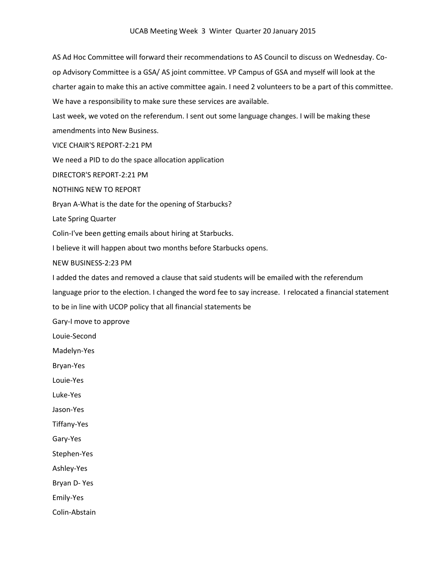AS Ad Hoc Committee will forward their recommendations to AS Council to discuss on Wednesday. Coop Advisory Committee is a GSA/ AS joint committee. VP Campus of GSA and myself will look at the charter again to make this an active committee again. I need 2 volunteers to be a part of this committee. We have a responsibility to make sure these services are available.

Last week, we voted on the referendum. I sent out some language changes. I will be making these amendments into New Business.

VICE CHAIR'S REPORT-2:21 PM

We need a PID to do the space allocation application

DIRECTOR'S REPORT-2:21 PM

NOTHING NEW TO REPORT

Bryan A-What is the date for the opening of Starbucks?

Late Spring Quarter

Colin-I've been getting emails about hiring at Starbucks.

I believe it will happen about two months before Starbucks opens.

NEW BUSINESS-2:23 PM

I added the dates and removed a clause that said students will be emailed with the referendum

language prior to the election. I changed the word fee to say increase. I relocated a financial statement

to be in line with UCOP policy that all financial statements be

Gary-I move to approve

Louie-Second

Madelyn-Yes

Bryan-Yes

Louie-Yes

Luke-Yes

Jason-Yes

Tiffany-Yes

Gary-Yes

Stephen-Yes

Ashley-Yes

Bryan D- Yes

Emily-Yes

Colin-Abstain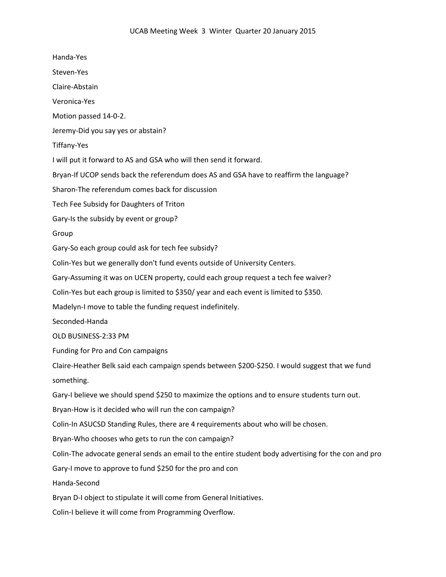Handa-Yes Steven-Yes Claire-Abstain Veronica-Yes Motion passed 14-0-2. Jeremy-Did you say yes or abstain? Tiffany-Yes I will put it forward to AS and GSA who will then send it forward. Bryan-If UCOP sends back the referendum does AS and GSA have to reaffirm the language? Sharon-The referendum comes back for discussion Tech Fee Subsidy for Daughters of Triton Gary-Is the subsidy by event or group? Group Gary-So each group could ask for tech fee subsidy? Colin-Yes but we generally don't fund events outside of University Centers. Gary-Assuming it was on UCEN property, could each group request a tech fee waiver? Colin-Yes but each group is limited to \$350/ year and each event is limited to \$350. Madelyn-I move to table the funding request indefinitely. Seconded-Handa OLD BUSINESS-2:33 PM Funding for Pro and Con campaigns Claire-Heather Belk said each campaign spends between \$200-\$250. I would suggest that we fund something. Gary-I believe we should spend \$250 to maximize the options and to ensure students turn out. Bryan-How is it decided who will run the con campaign? Colin-In ASUCSD Standing Rules, there are 4 requirements about who will be chosen. Bryan-Who chooses who gets to run the con campaign? Colin-The advocate general sends an email to the entire student body advertising for the con and pro Gary-I move to approve to fund \$250 for the pro and con Handa-Second Bryan D-I object to stipulate it will come from General Initiatives. Colin-I believe it will come from Programming Overflow.